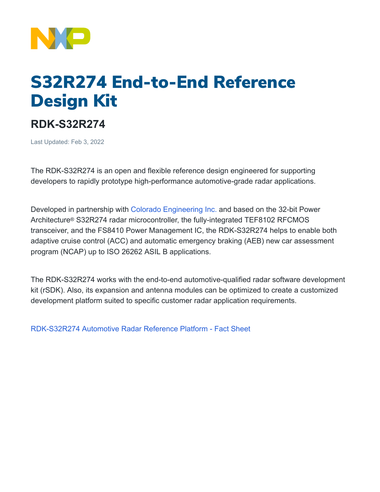

## S32R274 End-to-End Reference Design Kit

## **RDK-S32R274**

Last Updated: Feb 3, 2022

The RDK-S32R274 is an open and flexible reference design engineered for supporting developers to rapidly prototype high-performance automotive-grade radar applications.

Developed in partnership with [Colorado Engineering Inc.](https://coloradoengineering.com/about/) and based on the 32-bit Power Architecture® S32R274 radar microcontroller, the fully-integrated TEF8102 RFCMOS transceiver, and the FS8410 Power Management IC, the RDK-S32R274 helps to enable both adaptive cruise control (ACC) and automatic emergency braking (AEB) new car assessment program (NCAP) up to ISO 26262 ASIL B applications.

The RDK-S32R274 works with the end-to-end automotive-qualified radar software development kit (rSDK). Also, its expansion and antenna modules can be optimized to create a customized development platform suited to specific customer radar application requirements.

[RDK-S32R274 Automotive Radar Reference Platform - Fact Sheet](https://www.nxp.com/docs/en/fact-sheet/RDK-S32R274_FS.pdf)